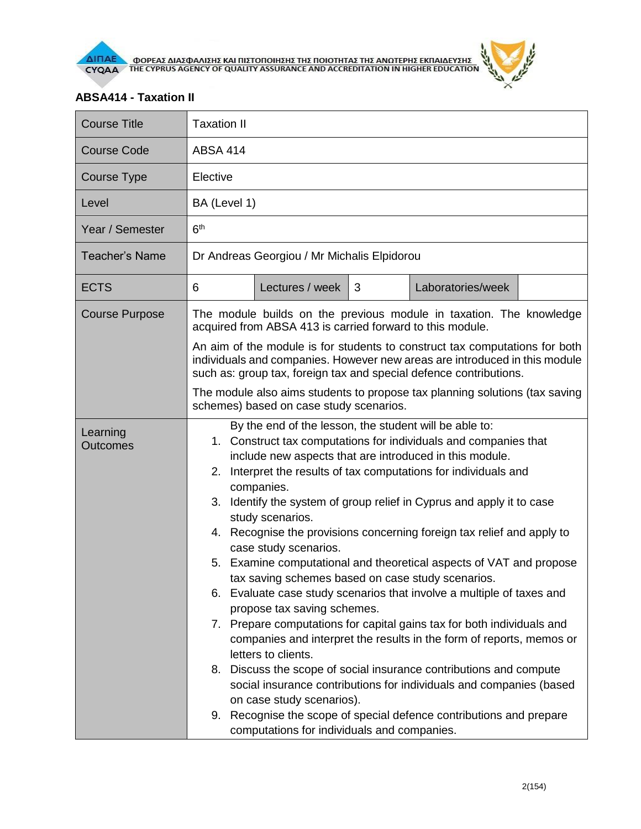

## **ABSA414 - Taxation II**

| <b>Course Title</b>         | <b>Taxation II</b>                                                                                                                                                                                                                                                                                                                                                                                                                                                                                                                                                                                                                                                                                                                                                                                                                                                                                                                                                                                                                                                                                                                                                                            |  |  |  |
|-----------------------------|-----------------------------------------------------------------------------------------------------------------------------------------------------------------------------------------------------------------------------------------------------------------------------------------------------------------------------------------------------------------------------------------------------------------------------------------------------------------------------------------------------------------------------------------------------------------------------------------------------------------------------------------------------------------------------------------------------------------------------------------------------------------------------------------------------------------------------------------------------------------------------------------------------------------------------------------------------------------------------------------------------------------------------------------------------------------------------------------------------------------------------------------------------------------------------------------------|--|--|--|
| <b>Course Code</b>          | <b>ABSA 414</b>                                                                                                                                                                                                                                                                                                                                                                                                                                                                                                                                                                                                                                                                                                                                                                                                                                                                                                                                                                                                                                                                                                                                                                               |  |  |  |
| Course Type                 | Elective                                                                                                                                                                                                                                                                                                                                                                                                                                                                                                                                                                                                                                                                                                                                                                                                                                                                                                                                                                                                                                                                                                                                                                                      |  |  |  |
| Level                       | BA (Level 1)                                                                                                                                                                                                                                                                                                                                                                                                                                                                                                                                                                                                                                                                                                                                                                                                                                                                                                                                                                                                                                                                                                                                                                                  |  |  |  |
| Year / Semester             | 6 <sup>th</sup>                                                                                                                                                                                                                                                                                                                                                                                                                                                                                                                                                                                                                                                                                                                                                                                                                                                                                                                                                                                                                                                                                                                                                                               |  |  |  |
| <b>Teacher's Name</b>       | Dr Andreas Georgiou / Mr Michalis Elpidorou                                                                                                                                                                                                                                                                                                                                                                                                                                                                                                                                                                                                                                                                                                                                                                                                                                                                                                                                                                                                                                                                                                                                                   |  |  |  |
| <b>ECTS</b>                 | Lectures / week<br>Laboratories/week<br>6<br>3                                                                                                                                                                                                                                                                                                                                                                                                                                                                                                                                                                                                                                                                                                                                                                                                                                                                                                                                                                                                                                                                                                                                                |  |  |  |
| <b>Course Purpose</b>       | The module builds on the previous module in taxation. The knowledge<br>acquired from ABSA 413 is carried forward to this module.                                                                                                                                                                                                                                                                                                                                                                                                                                                                                                                                                                                                                                                                                                                                                                                                                                                                                                                                                                                                                                                              |  |  |  |
|                             | An aim of the module is for students to construct tax computations for both<br>individuals and companies. However new areas are introduced in this module<br>such as: group tax, foreign tax and special defence contributions.<br>The module also aims students to propose tax planning solutions (tax saving<br>schemes) based on case study scenarios.                                                                                                                                                                                                                                                                                                                                                                                                                                                                                                                                                                                                                                                                                                                                                                                                                                     |  |  |  |
|                             |                                                                                                                                                                                                                                                                                                                                                                                                                                                                                                                                                                                                                                                                                                                                                                                                                                                                                                                                                                                                                                                                                                                                                                                               |  |  |  |
| Learning<br><b>Outcomes</b> | By the end of the lesson, the student will be able to:<br>1. Construct tax computations for individuals and companies that<br>include new aspects that are introduced in this module.<br>Interpret the results of tax computations for individuals and<br>2.<br>companies.<br>3. Identify the system of group relief in Cyprus and apply it to case<br>study scenarios.<br>Recognise the provisions concerning foreign tax relief and apply to<br>4.<br>case study scenarios.<br>5. Examine computational and theoretical aspects of VAT and propose<br>tax saving schemes based on case study scenarios.<br>6. Evaluate case study scenarios that involve a multiple of taxes and<br>propose tax saving schemes.<br>7. Prepare computations for capital gains tax for both individuals and<br>companies and interpret the results in the form of reports, memos or<br>letters to clients.<br>8. Discuss the scope of social insurance contributions and compute<br>social insurance contributions for individuals and companies (based<br>on case study scenarios).<br>Recognise the scope of special defence contributions and prepare<br>9.<br>computations for individuals and companies. |  |  |  |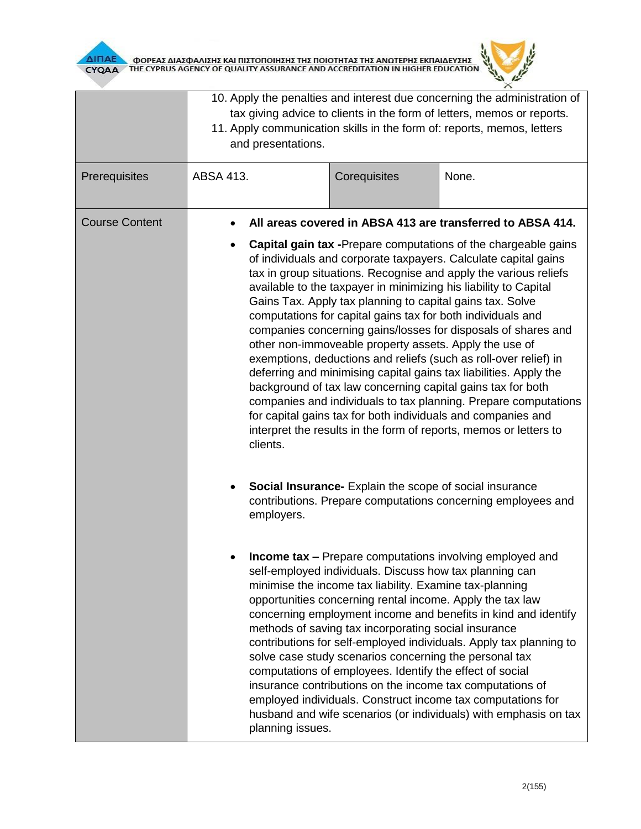



|                       | 10. Apply the penalties and interest due concerning the administration of<br>tax giving advice to clients in the form of letters, memos or reports.<br>11. Apply communication skills in the form of: reports, memos, letters<br>and presentations. |                                                                                                                                                                                                                                                                                                                                                                                                                                                                                                                                                                                                                                                                                                                                                                                                                                                                                                                                                                                                                        |       |  |
|-----------------------|-----------------------------------------------------------------------------------------------------------------------------------------------------------------------------------------------------------------------------------------------------|------------------------------------------------------------------------------------------------------------------------------------------------------------------------------------------------------------------------------------------------------------------------------------------------------------------------------------------------------------------------------------------------------------------------------------------------------------------------------------------------------------------------------------------------------------------------------------------------------------------------------------------------------------------------------------------------------------------------------------------------------------------------------------------------------------------------------------------------------------------------------------------------------------------------------------------------------------------------------------------------------------------------|-------|--|
| Prerequisites         | ABSA 413.                                                                                                                                                                                                                                           | Corequisites                                                                                                                                                                                                                                                                                                                                                                                                                                                                                                                                                                                                                                                                                                                                                                                                                                                                                                                                                                                                           | None. |  |
| <b>Course Content</b> | clients.                                                                                                                                                                                                                                            | All areas covered in ABSA 413 are transferred to ABSA 414.<br><b>Capital gain tax - Prepare computations of the chargeable gains</b><br>of individuals and corporate taxpayers. Calculate capital gains<br>tax in group situations. Recognise and apply the various reliefs<br>available to the taxpayer in minimizing his liability to Capital<br>Gains Tax. Apply tax planning to capital gains tax. Solve<br>computations for capital gains tax for both individuals and<br>companies concerning gains/losses for disposals of shares and<br>other non-immoveable property assets. Apply the use of<br>exemptions, deductions and reliefs (such as roll-over relief) in<br>deferring and minimising capital gains tax liabilities. Apply the<br>background of tax law concerning capital gains tax for both<br>companies and individuals to tax planning. Prepare computations<br>for capital gains tax for both individuals and companies and<br>interpret the results in the form of reports, memos or letters to |       |  |
|                       | employers.                                                                                                                                                                                                                                          | Social Insurance- Explain the scope of social insurance<br>contributions. Prepare computations concerning employees and<br><b>Income tax - Prepare computations involving employed and</b><br>self-employed individuals. Discuss how tax planning can<br>minimise the income tax liability. Examine tax-planning<br>opportunities concerning rental income. Apply the tax law<br>concerning employment income and benefits in kind and identify<br>methods of saving tax incorporating social insurance<br>contributions for self-employed individuals. Apply tax planning to<br>solve case study scenarios concerning the personal tax<br>computations of employees. Identify the effect of social<br>insurance contributions on the income tax computations of<br>employed individuals. Construct income tax computations for<br>husband and wife scenarios (or individuals) with emphasis on tax<br>planning issues.                                                                                                |       |  |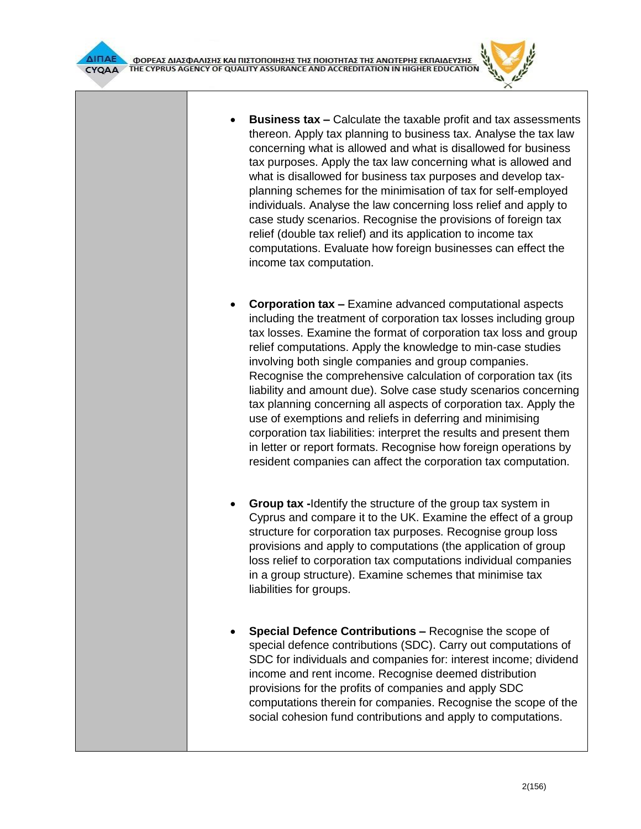

- **Business tax –** Calculate the taxable profit and tax assessments thereon. Apply tax planning to business tax. Analyse the tax law concerning what is allowed and what is disallowed for business tax purposes. Apply the tax law concerning what is allowed and what is disallowed for business tax purposes and develop taxplanning schemes for the minimisation of tax for self-employed individuals. Analyse the law concerning loss relief and apply to case study scenarios. Recognise the provisions of foreign tax relief (double tax relief) and its application to income tax computations. Evaluate how foreign businesses can effect the income tax computation.
- **Corporation tax –** Examine advanced computational aspects including the treatment of corporation tax losses including group tax losses. Examine the format of corporation tax loss and group relief computations. Apply the knowledge to min-case studies involving both single companies and group companies. Recognise the comprehensive calculation of corporation tax (its liability and amount due). Solve case study scenarios concerning tax planning concerning all aspects of corporation tax. Apply the use of exemptions and reliefs in deferring and minimising corporation tax liabilities: interpret the results and present them in letter or report formats. Recognise how foreign operations by resident companies can affect the corporation tax computation.
- **Group tax -**Identify the structure of the group tax system in Cyprus and compare it to the UK. Examine the effect of a group structure for corporation tax purposes. Recognise group loss provisions and apply to computations (the application of group loss relief to corporation tax computations individual companies in a group structure). Examine schemes that minimise tax liabilities for groups.
- **Special Defence Contributions –** Recognise the scope of special defence contributions (SDC). Carry out computations of SDC for individuals and companies for: interest income; dividend income and rent income. Recognise deemed distribution provisions for the profits of companies and apply SDC computations therein for companies. Recognise the scope of the social cohesion fund contributions and apply to computations.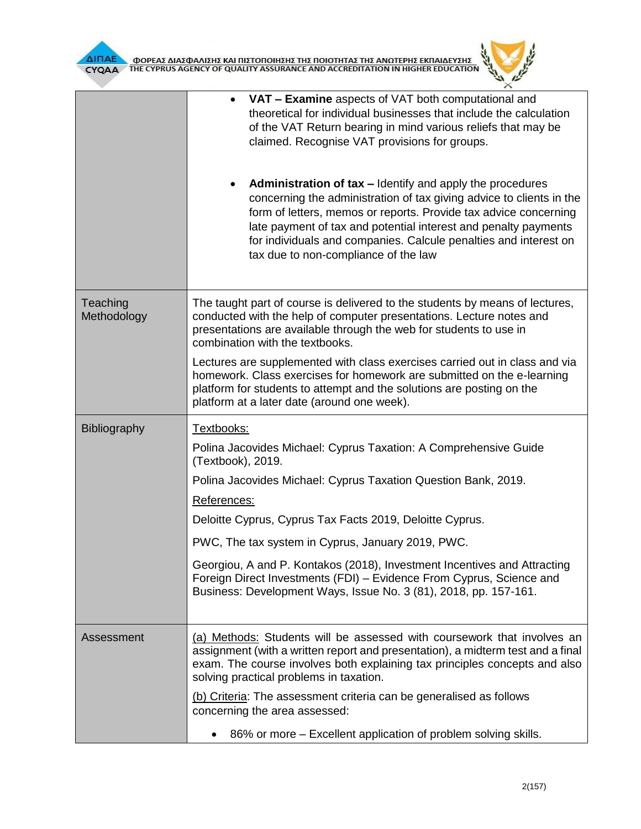